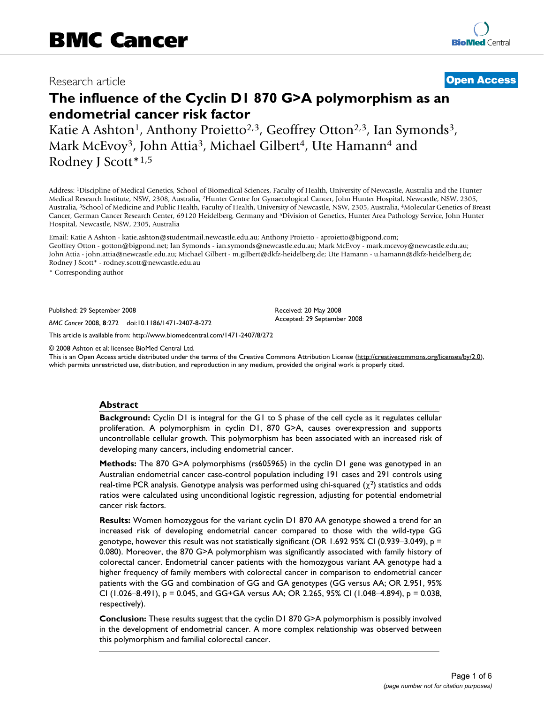# Research article **[Open Access](http://www.biomedcentral.com/info/about/charter/)**

# **The influence of the Cyclin D1 870 G>A polymorphism as an endometrial cancer risk factor**

Katie A Ashton<sup>1</sup>, Anthony Proietto<sup>2,3</sup>, Geoffrey Otton<sup>2,3</sup>, Ian Symonds<sup>3</sup>, Mark McEvoy<sup>3</sup>, John Attia<sup>3</sup>, Michael Gilbert<sup>4</sup>, Ute Hamann<sup>4</sup> and Rodney J Scott\*1,5

Address: 1Discipline of Medical Genetics, School of Biomedical Sciences, Faculty of Health, University of Newcastle, Australia and the Hunter Medical Research Institute, NSW, 2308, Australia, 2Hunter Centre for Gynaecological Cancer, John Hunter Hospital, Newcastle, NSW, 2305, Australia, 3School of Medicine and Public Health, Faculty of Health, University of Newcastle, NSW, 2305, Australia, 4Molecular Genetics of Breast Cancer, German Cancer Research Center, 69120 Heidelberg, Germany and 5Division of Genetics, Hunter Area Pathology Service, John Hunter Hospital, Newcastle, NSW, 2305, Australia

Email: Katie A Ashton - katie.ashton@studentmail.newcastle.edu.au; Anthony Proietto - aproietto@bigpond.com; Geoffrey Otton - gotton@bigpond.net; Ian Symonds - ian.symonds@newcastle.edu.au; Mark McEvoy - mark.mcevoy@newcastle.edu.au; John Attia - john.attia@newcastle.edu.au; Michael Gilbert - m.gilbert@dkfz-heidelberg.de; Ute Hamann - u.hamann@dkfz-heidelberg.de; Rodney J Scott\* - rodney.scott@newcastle.edu.au

\* Corresponding author

Published: 29 September 2008

*BMC Cancer* 2008, **8**:272 doi:10.1186/1471-2407-8-272

[This article is available from: http://www.biomedcentral.com/1471-2407/8/272](http://www.biomedcentral.com/1471-2407/8/272)

© 2008 Ashton et al; licensee BioMed Central Ltd.

This is an Open Access article distributed under the terms of the Creative Commons Attribution License [\(http://creativecommons.org/licenses/by/2.0\)](http://creativecommons.org/licenses/by/2.0), which permits unrestricted use, distribution, and reproduction in any medium, provided the original work is properly cited.

Received: 20 May 2008 Accepted: 29 September 2008

#### **Abstract**

**Background:** Cyclin D1 is integral for the G1 to S phase of the cell cycle as it regulates cellular proliferation. A polymorphism in cyclin D1, 870 G>A, causes overexpression and supports uncontrollable cellular growth. This polymorphism has been associated with an increased risk of developing many cancers, including endometrial cancer.

**Methods:** The 870 G>A polymorphisms (rs605965) in the cyclin D1 gene was genotyped in an Australian endometrial cancer case-control population including 191 cases and 291 controls using real-time PCR analysis. Genotype analysis was performed using chi-squared  $(\chi^2)$  statistics and odds ratios were calculated using unconditional logistic regression, adjusting for potential endometrial cancer risk factors.

**Results:** Women homozygous for the variant cyclin D1 870 AA genotype showed a trend for an increased risk of developing endometrial cancer compared to those with the wild-type GG genotype, however this result was not statistically significant (OR 1.692 95% CI (0.939–3.049),  $p =$ 0.080). Moreover, the 870 G>A polymorphism was significantly associated with family history of colorectal cancer. Endometrial cancer patients with the homozygous variant AA genotype had a higher frequency of family members with colorectal cancer in comparison to endometrial cancer patients with the GG and combination of GG and GA genotypes (GG versus AA; OR 2.951, 95% CI (1.026–8.491),  $p = 0.045$ , and GG+GA versus AA; OR 2.265, 95% CI (1.048–4.894),  $p = 0.038$ , respectively).

**Conclusion:** These results suggest that the cyclin D1 870 G>A polymorphism is possibly involved in the development of endometrial cancer. A more complex relationship was observed between this polymorphism and familial colorectal cancer.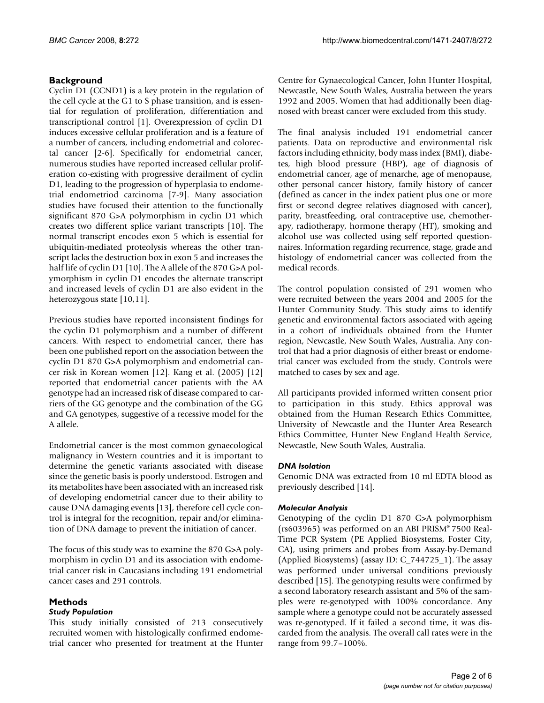### **Background**

Cyclin D1 (CCND1) is a key protein in the regulation of the cell cycle at the G1 to S phase transition, and is essential for regulation of proliferation, differentiation and transcriptional control [1]. Overexpression of cyclin D1 induces excessive cellular proliferation and is a feature of a number of cancers, including endometrial and colorectal cancer [2-6]. Specifically for endometrial cancer, numerous studies have reported increased cellular proliferation co-existing with progressive derailment of cyclin D1, leading to the progression of hyperplasia to endometrial endometriod carcinoma [7-9]. Many association studies have focused their attention to the functionally significant 870 G>A polymorphism in cyclin D1 which creates two different splice variant transcripts [10]. The normal transcript encodes exon 5 which is essential for ubiquitin-mediated proteolysis whereas the other transcript lacks the destruction box in exon 5 and increases the half life of cyclin D1 [10]. The A allele of the 870 G>A polymorphism in cyclin D1 encodes the alternate transcript and increased levels of cyclin D1 are also evident in the heterozygous state [10,11].

Previous studies have reported inconsistent findings for the cyclin D1 polymorphism and a number of different cancers. With respect to endometrial cancer, there has been one published report on the association between the cyclin D1 870 G>A polymorphism and endometrial cancer risk in Korean women [12]. Kang et al. (2005) [12] reported that endometrial cancer patients with the AA genotype had an increased risk of disease compared to carriers of the GG genotype and the combination of the GG and GA genotypes, suggestive of a recessive model for the A allele.

Endometrial cancer is the most common gynaecological malignancy in Western countries and it is important to determine the genetic variants associated with disease since the genetic basis is poorly understood. Estrogen and its metabolites have been associated with an increased risk of developing endometrial cancer due to their ability to cause DNA damaging events [13], therefore cell cycle control is integral for the recognition, repair and/or elimination of DNA damage to prevent the initiation of cancer.

The focus of this study was to examine the 870 G>A polymorphism in cyclin D1 and its association with endometrial cancer risk in Caucasians including 191 endometrial cancer cases and 291 controls.

## **Methods**

#### *Study Population*

This study initially consisted of 213 consecutively recruited women with histologically confirmed endometrial cancer who presented for treatment at the Hunter

Centre for Gynaecological Cancer, John Hunter Hospital, Newcastle, New South Wales, Australia between the years 1992 and 2005. Women that had additionally been diagnosed with breast cancer were excluded from this study.

The final analysis included 191 endometrial cancer patients. Data on reproductive and environmental risk factors including ethnicity, body mass index (BMI), diabetes, high blood pressure (HBP), age of diagnosis of endometrial cancer, age of menarche, age of menopause, other personal cancer history, family history of cancer (defined as cancer in the index patient plus one or more first or second degree relatives diagnosed with cancer), parity, breastfeeding, oral contraceptive use, chemotherapy, radiotherapy, hormone therapy (HT), smoking and alcohol use was collected using self reported questionnaires. Information regarding recurrence, stage, grade and histology of endometrial cancer was collected from the medical records.

The control population consisted of 291 women who were recruited between the years 2004 and 2005 for the Hunter Community Study. This study aims to identify genetic and environmental factors associated with ageing in a cohort of individuals obtained from the Hunter region, Newcastle, New South Wales, Australia. Any control that had a prior diagnosis of either breast or endometrial cancer was excluded from the study. Controls were matched to cases by sex and age.

All participants provided informed written consent prior to participation in this study. Ethics approval was obtained from the Human Research Ethics Committee, University of Newcastle and the Hunter Area Research Ethics Committee, Hunter New England Health Service, Newcastle, New South Wales, Australia.

#### *DNA Isolation*

Genomic DNA was extracted from 10 ml EDTA blood as previously described [14].

#### *Molecular Analysis*

Genotyping of the cyclin D1 870 G>A polymorphism (rs603965) was performed on an ABI PRISM® 7500 Real-Time PCR System (PE Applied Biosystems, Foster City, CA), using primers and probes from Assay-by-Demand (Applied Biosystems) (assay ID: C\_744725\_1). The assay was performed under universal conditions previously described [15]. The genotyping results were confirmed by a second laboratory research assistant and 5% of the samples were re-genotyped with 100% concordance. Any sample where a genotype could not be accurately assessed was re-genotyped. If it failed a second time, it was discarded from the analysis. The overall call rates were in the range from 99.7–100%.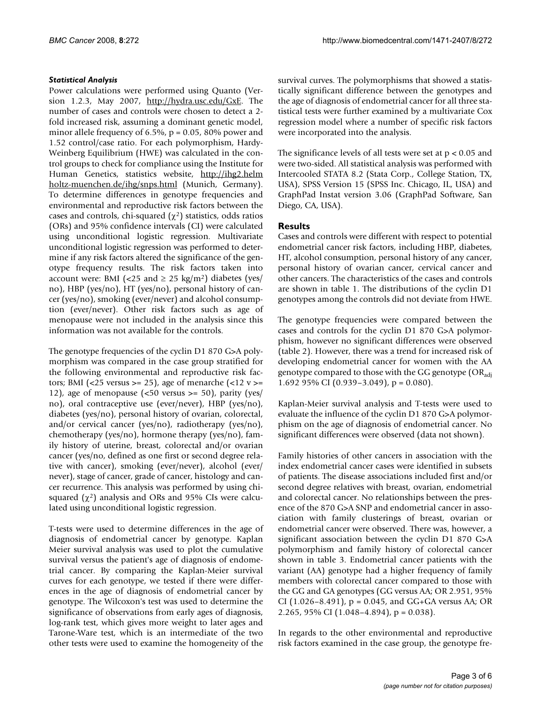#### *Statistical Analysis*

Power calculations were performed using Quanto (Version 1.2.3, May 2007, [http://hydra.usc.edu/GxE.](http://hydra.usc.edu/GxE) The number of cases and controls were chosen to detect a 2 fold increased risk, assuming a dominant genetic model, minor allele frequency of 6.5%,  $p = 0.05$ , 80% power and 1.52 control/case ratio. For each polymorphism, Hardy-Weinberg Equilibrium (HWE) was calculated in the control groups to check for compliance using the Institute for Human Genetics, statistics website, [http://ihg2.helm](http://ihg2.helmholtz-muenchen.de/ihg/snps.html) [holtz-muenchen.de/ihg/snps.html](http://ihg2.helmholtz-muenchen.de/ihg/snps.html) (Munich, Germany). To determine differences in genotype frequencies and environmental and reproductive risk factors between the cases and controls, chi-squared  $(\chi^2)$  statistics, odds ratios (ORs) and 95% confidence intervals (CI) were calculated using unconditional logistic regression. Multivariate unconditional logistic regression was performed to determine if any risk factors altered the significance of the genotype frequency results. The risk factors taken into account were: BMI (<25 and  $\geq$  25 kg/m<sup>2</sup>) diabetes (yes/ no), HBP (yes/no), HT (yes/no), personal history of cancer (yes/no), smoking (ever/never) and alcohol consumption (ever/never). Other risk factors such as age of menopause were not included in the analysis since this information was not available for the controls.

The genotype frequencies of the cyclin D1 870 G>A polymorphism was compared in the case group stratified for the following environmental and reproductive risk factors; BMI (<25 versus >= 25), age of menarche (<12  $v$  >= 12), age of menopause  $\left($  <50 versus >= 50), parity  $\left(yes\right)$ no), oral contraceptive use (ever/never), HBP (yes/no), diabetes (yes/no), personal history of ovarian, colorectal, and/or cervical cancer (yes/no), radiotherapy (yes/no), chemotherapy (yes/no), hormone therapy (yes/no), family history of uterine, breast, colorectal and/or ovarian cancer (yes/no, defined as one first or second degree relative with cancer), smoking (ever/never), alcohol (ever/ never), stage of cancer, grade of cancer, histology and cancer recurrence. This analysis was performed by using chisquared  $(\chi^2)$  analysis and ORs and 95% CIs were calculated using unconditional logistic regression.

T-tests were used to determine differences in the age of diagnosis of endometrial cancer by genotype. Kaplan Meier survival analysis was used to plot the cumulative survival versus the patient's age of diagnosis of endometrial cancer. By comparing the Kaplan-Meier survival curves for each genotype, we tested if there were differences in the age of diagnosis of endometrial cancer by genotype. The Wilcoxon's test was used to determine the significance of observations from early ages of diagnosis, log-rank test, which gives more weight to later ages and Tarone-Ware test, which is an intermediate of the two other tests were used to examine the homogeneity of the survival curves. The polymorphisms that showed a statistically significant difference between the genotypes and the age of diagnosis of endometrial cancer for all three statistical tests were further examined by a multivariate Cox regression model where a number of specific risk factors were incorporated into the analysis.

The significance levels of all tests were set at  $p < 0.05$  and were two-sided. All statistical analysis was performed with Intercooled STATA 8.2 (Stata Corp., College Station, TX, USA), SPSS Version 15 (SPSS Inc. Chicago, IL, USA) and GraphPad Instat version 3.06 (GraphPad Software, San Diego, CA, USA).

#### **Results**

Cases and controls were different with respect to potential endometrial cancer risk factors, including HBP, diabetes, HT, alcohol consumption, personal history of any cancer, personal history of ovarian cancer, cervical cancer and other cancers. The characteristics of the cases and controls are shown in table 1. The distributions of the cyclin D1 genotypes among the controls did not deviate from HWE.

The genotype frequencies were compared between the cases and controls for the cyclin D1 870 G>A polymorphism, however no significant differences were observed (table 2). However, there was a trend for increased risk of developing endometrial cancer for women with the AA genotype compared to those with the GG genotype  $(OR_{\text{adi}})$ 1.692 95% CI  $(0.939 - 3.049)$ , p = 0.080).

Kaplan-Meier survival analysis and T-tests were used to evaluate the influence of the cyclin D1 870 G>A polymorphism on the age of diagnosis of endometrial cancer. No significant differences were observed (data not shown).

Family histories of other cancers in association with the index endometrial cancer cases were identified in subsets of patients. The disease associations included first and/or second degree relatives with breast, ovarian, endometrial and colorectal cancer. No relationships between the presence of the 870 G>A SNP and endometrial cancer in association with family clusterings of breast, ovarian or endometrial cancer were observed. There was, however, a significant association between the cyclin D1 870 G>A polymorphism and family history of colorectal cancer shown in table 3. Endometrial cancer patients with the variant (AA) genotype had a higher frequency of family members with colorectal cancer compared to those with the GG and GA genotypes (GG versus AA; OR 2.951, 95% CI (1.026–8.491),  $p = 0.045$ , and GG+GA versus AA; OR 2.265, 95% CI  $(1.048-4.894)$ , p = 0.038).

In regards to the other environmental and reproductive risk factors examined in the case group, the genotype fre-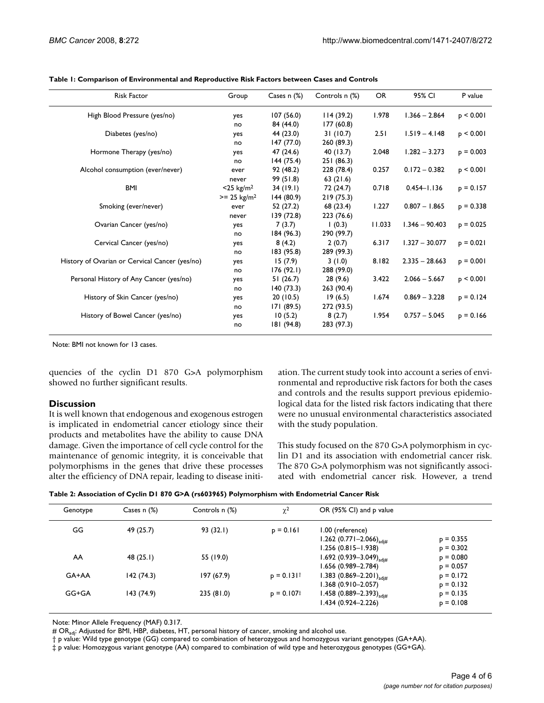| <b>Risk Factor</b>                             | Group                    | Cases $n$ $(\%)$ | Controls n (%) | <b>OR</b> | 95% CI           | P value        |
|------------------------------------------------|--------------------------|------------------|----------------|-----------|------------------|----------------|
| High Blood Pressure (yes/no)                   | yes                      | 107(56.0)        | 114(39.2)      | 1.978     | $1.366 - 2.864$  | p < 0.001      |
|                                                | no                       | 84 (44.0)        | 177(60.8)      |           |                  |                |
| Diabetes (yes/no)                              | yes                      | 44 (23.0)        | 31(10.7)       | 2.51      | $1.519 - 4.148$  | p < 0.001      |
|                                                | no                       | 147 (77.0)       | 260 (89.3)     |           |                  |                |
| Hormone Therapy (yes/no)                       | yes                      | 47 (24.6)        | 40 (13.7)      | 2.048     | $1.282 - 3.273$  | $p = 0.003$    |
|                                                | no                       | 144(75.4)        | 251(86.3)      |           |                  |                |
| Alcohol consumption (ever/never)               | ever                     | 92 (48.2)        | 228 (78.4)     | 0.257     | $0.172 - 0.382$  | $p \leq 0.001$ |
|                                                | never                    | 99 (51.8)        | 63(21.6)       |           |                  |                |
| <b>BMI</b>                                     | $<$ 25 kg/m <sup>2</sup> | 34(19.1)         | 72 (24.7)      | 0.718     | $0.454 - 1.136$  | $p = 0.157$    |
|                                                | $>= 25 \text{ kg/m}^2$   | 144(80.9)        | 219(75.3)      |           |                  |                |
| Smoking (ever/never)                           | ever                     | 52 (27.2)        | 68 (23.4)      | 1.227     | $0.807 - 1.865$  | $p = 0.338$    |
|                                                | never                    | 139 (72.8)       | 223 (76.6)     |           |                  |                |
| Ovarian Cancer (yes/no)                        | yes                      | 7(3.7)           | (0.3)          | 11.033    | $1.346 - 90.403$ | $p = 0.025$    |
|                                                | no                       | 184(96.3)        | 290 (99.7)     |           |                  |                |
| Cervical Cancer (yes/no)                       | yes                      | 8(4.2)           | 2(0.7)         | 6.317     | $1.327 - 30.077$ | $p = 0.021$    |
|                                                | no                       | 183 (95.8)       | 289 (99.3)     |           |                  |                |
| History of Ovarian or Cervical Cancer (yes/no) | yes                      | 15(7.9)          | 3(1.0)         | 8.182     | $2.335 - 28.663$ | $p = 0.001$    |
|                                                | no                       | 176(92.1)        | 288 (99.0)     |           |                  |                |
| Personal History of Any Cancer (yes/no)        | yes                      | 51(26.7)         | 28(9.6)        | 3.422     | $2.066 - 5.667$  | p < 0.001      |
|                                                | no                       | 140(73.3)        | 263 (90.4)     |           |                  |                |
| History of Skin Cancer (yes/no)                | yes                      | 20(10.5)         | 19(6.5)        | 1.674     | $0.869 - 3.228$  | $p = 0.124$    |
|                                                | no                       | 171(89.5)        | 272 (93.5)     |           |                  |                |
| History of Bowel Cancer (yes/no)               | yes                      | 10(5.2)          | 8(2.7)         | 1.954     | $0.757 - 5.045$  | $p = 0.166$    |
|                                                | no                       | 181 (94.8)       | 283 (97.3)     |           |                  |                |
|                                                |                          |                  |                |           |                  |                |

**Table 1: Comparison of Environmental and Reproductive Risk Factors between Cases and Controls**

Note: BMI not known for 13 cases.

quencies of the cyclin D1 870 G>A polymorphism showed no further significant results.

#### **Discussion**

It is well known that endogenous and exogenous estrogen is implicated in endometrial cancer etiology since their products and metabolites have the ability to cause DNA damage. Given the importance of cell cycle control for the maintenance of genomic integrity, it is conceivable that polymorphisms in the genes that drive these processes alter the efficiency of DNA repair, leading to disease initiation. The current study took into account a series of environmental and reproductive risk factors for both the cases and controls and the results support previous epidemiological data for the listed risk factors indicating that there were no unusual environmental characteristics associated with the study population.

This study focused on the 870 G>A polymorphism in cyclin D1 and its association with endometrial cancer risk. The 870 G>A polymorphism was not significantly associated with endometrial cancer risk. However, a trend

| Table 2: Association of Cyclin D1 870 G>A (rs603965) Polymorphism with Endometrial Cancer Risk |  |  |
|------------------------------------------------------------------------------------------------|--|--|
|                                                                                                |  |  |

| Cases $n$ $(\%)$<br>Genotype |            | Controls n (%) | $\chi^2$    | OR (95% CI) and p value                 |             |
|------------------------------|------------|----------------|-------------|-----------------------------------------|-------------|
| GG                           | 49 (25.7)  | 93 (32.1)      | $p = 0.161$ | 1.00 (reference)                        |             |
|                              |            |                |             | 1.262 $(0.771 - 2.066)_{\text{adiff}}$  | $p = 0.355$ |
|                              |            |                |             | $1.256(0.815 - 1.938)$                  | $p = 0.302$ |
| AA                           | 48(25.1)   | 55 (19.0)      |             | 1.692 $(0.939 - 3.049)$ <sub>adi#</sub> | $p = 0.080$ |
|                              |            |                |             | 1.656 (0.989-2.784)                     | $p = 0.057$ |
| $GA+AA$                      | 142(74.3)  | 197 (67.9)     | $p = 0.131$ | 1.383 $(0.869 - 2.201)$ <sub>adi#</sub> | $p = 0.172$ |
|                              |            |                |             | 1.368 (0.910–2.057)                     | $p = 0.132$ |
| $GG+GA$                      | 143 (74.9) | 235 (81.0)     | $p = 0.107$ | 1.458 $(0.889 - 2.393)_{\text{adiff}}$  | $p = 0.135$ |
|                              |            |                |             | 1.434 (0.924-2.226)                     | $p = 0.108$ |

Note: Minor Allele Frequency (MAF) 0.317.

# OR<sub>adi</sub>: Adjusted for BMI, HBP, diabetes, HT, personal history of cancer, smoking and alcohol use.

† p value: Wild type genotype (GG) compared to combination of heterozygous and homozygous variant genotypes (GA+AA).

‡ p value: Homozygous variant genotype (AA) compared to combination of wild type and heterozygous genotypes (GG+GA).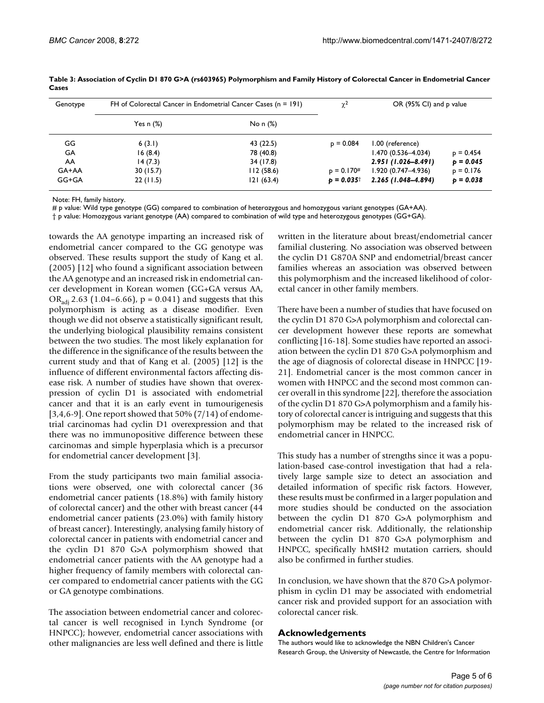| Genotype | FH of Colorectal Cancer in Endometrial Cancer Cases $(n = 191)$ | $\chi^2$  | OR (95% CI) and p value |                        |             |
|----------|-----------------------------------------------------------------|-----------|-------------------------|------------------------|-------------|
|          | Yes n $(\%)$                                                    | No n (%)  |                         |                        |             |
| GG       | 6(3.1)                                                          | 43 (22.5) | $p = 0.084$             | 1.00 (reference)       |             |
| GA       | 16(8.4)                                                         | 78 (40.8) |                         | 1.470 (0.536-4.034)    | $p = 0.454$ |
| AA       | 14(7.3)                                                         | 34 (17.8) |                         | $2.951(1.026 - 8.491)$ | $p = 0.045$ |
| GA+AA    | 30(15.7)                                                        | 112(58.6) | $p = 0.170#$            | $1.920(0.747 - 4.936)$ | $p = 0.176$ |
| GG+GA    | 22(11.5)                                                        | 121(63.4) | $p = 0.035^{\dagger}$   | 2.265 (1.048-4.894)    | $p = 0.038$ |

**Table 3: Association of Cyclin D1 870 G>A (rs603965) Polymorphism and Family History of Colorectal Cancer in Endometrial Cancer Cases**

Note: FH, family history.

# p value: Wild type genotype (GG) compared to combination of heterozygous and homozygous variant genotypes (GA+AA).

† p value: Homozygous variant genotype (AA) compared to combination of wild type and heterozygous genotypes (GG+GA).

towards the AA genotype imparting an increased risk of endometrial cancer compared to the GG genotype was observed. These results support the study of Kang et al. (2005) [12] who found a significant association between the AA genotype and an increased risk in endometrial cancer development in Korean women (GG+GA versus AA, OR<sub>adi</sub> 2.63 (1.04–6.66),  $p = 0.041$ ) and suggests that this polymorphism is acting as a disease modifier. Even though we did not observe a statistically significant result, the underlying biological plausibility remains consistent between the two studies. The most likely explanation for the difference in the significance of the results between the current study and that of Kang et al. (2005) [12] is the influence of different environmental factors affecting disease risk. A number of studies have shown that overexpression of cyclin D1 is associated with endometrial cancer and that it is an early event in tumourigenesis [3,4,6-9]. One report showed that  $50\%$  (7/14) of endometrial carcinomas had cyclin D1 overexpression and that there was no immunopositive difference between these carcinomas and simple hyperplasia which is a precursor for endometrial cancer development [3].

From the study participants two main familial associations were observed, one with colorectal cancer (36 endometrial cancer patients (18.8%) with family history of colorectal cancer) and the other with breast cancer (44 endometrial cancer patients (23.0%) with family history of breast cancer). Interestingly, analysing family history of colorectal cancer in patients with endometrial cancer and the cyclin D1 870 G>A polymorphism showed that endometrial cancer patients with the AA genotype had a higher frequency of family members with colorectal cancer compared to endometrial cancer patients with the GG or GA genotype combinations.

The association between endometrial cancer and colorectal cancer is well recognised in Lynch Syndrome (or HNPCC); however, endometrial cancer associations with other malignancies are less well defined and there is little written in the literature about breast/endometrial cancer familial clustering. No association was observed between the cyclin D1 G870A SNP and endometrial/breast cancer families whereas an association was observed between this polymorphism and the increased likelihood of colorectal cancer in other family members.

There have been a number of studies that have focused on the cyclin D1 870 G>A polymorphism and colorectal cancer development however these reports are somewhat conflicting [16-18]. Some studies have reported an association between the cyclin D1 870 G>A polymorphism and the age of diagnosis of colorectal disease in HNPCC [19- 21]. Endometrial cancer is the most common cancer in women with HNPCC and the second most common cancer overall in this syndrome [22], therefore the association of the cyclin D1 870 G>A polymorphism and a family history of colorectal cancer is intriguing and suggests that this polymorphism may be related to the increased risk of endometrial cancer in HNPCC.

This study has a number of strengths since it was a population-based case-control investigation that had a relatively large sample size to detect an association and detailed information of specific risk factors. However, these results must be confirmed in a larger population and more studies should be conducted on the association between the cyclin D1 870 G>A polymorphism and endometrial cancer risk. Additionally, the relationship between the cyclin D1 870 G>A polymorphism and HNPCC, specifically hMSH2 mutation carriers, should also be confirmed in further studies.

In conclusion, we have shown that the 870 G>A polymorphism in cyclin D1 may be associated with endometrial cancer risk and provided support for an association with colorectal cancer risk.

#### **Acknowledgements**

The authors would like to acknowledge the NBN Children's Cancer Research Group, the University of Newcastle, the Centre for Information